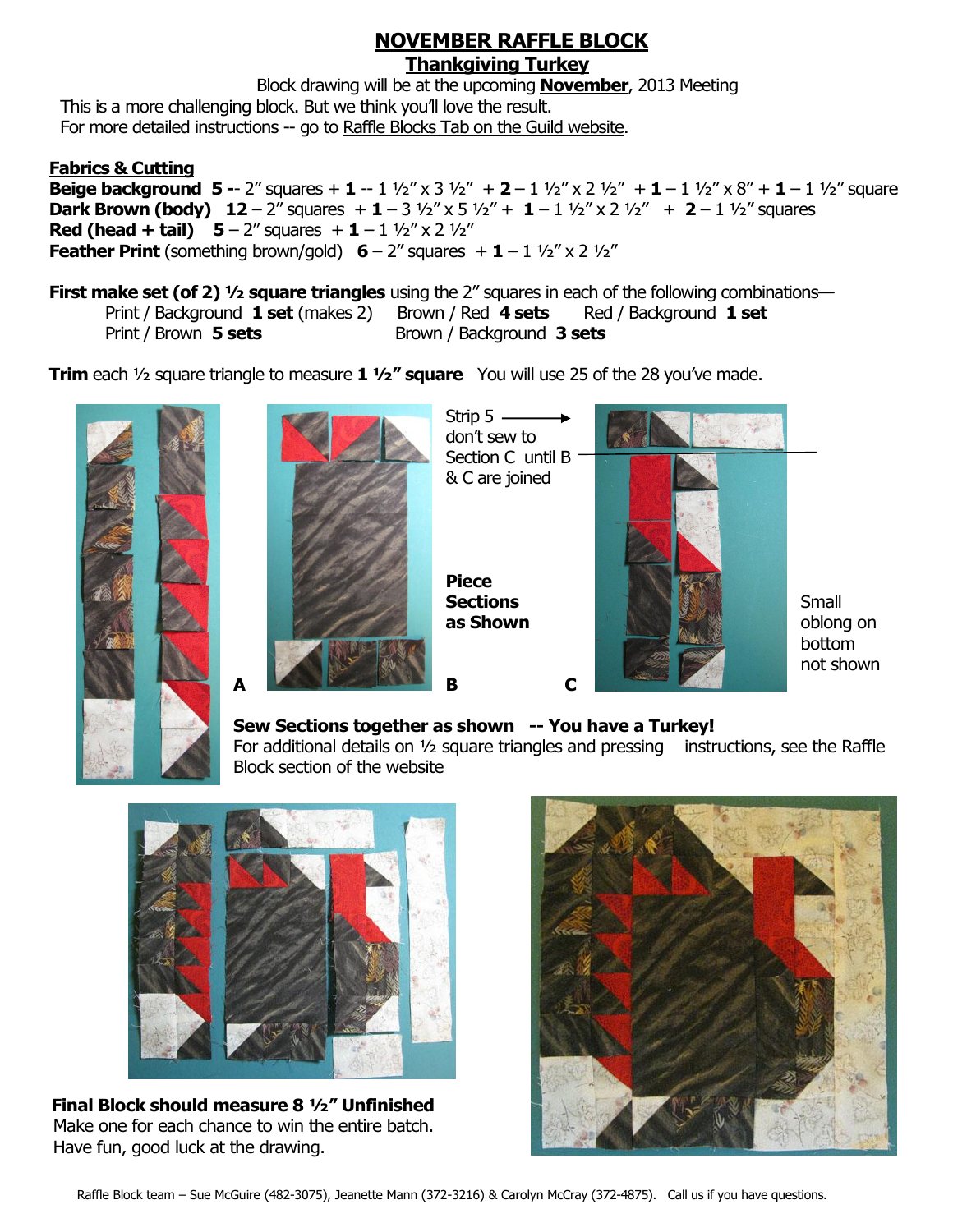## **NOVEMBER RAFFLE BLOCK Thankgiving Turkey**

Block drawing will be at the upcoming **November**, 2013 Meeting This is a more challenging block. But we think you'll love the result. For more detailed instructions -- go to Raffle Blocks Tab on the Guild website.

#### **Fabrics & Cutting**

**Beige background 5 -- 2"** squares + **1** -- 1  $\frac{1}{2}$ " x 3  $\frac{1}{2}$ " + **2** - 1  $\frac{1}{2}$ " x 2  $\frac{1}{2}$ " + **1** - 1  $\frac{1}{2}$ " x 8" + **1** - 1  $\frac{1}{2}$ " square **Dark Brown (body) 12** – 2" squares  $+$  **1** – 3  $\frac{1}{2}$ " x 5  $\frac{1}{2}$ " + **1** – 1  $\frac{1}{2}$ " x 2  $\frac{1}{2}$ " + **2** – 1  $\frac{1}{2}$ " squares **Red (head + tail)**  $5 - 2''$  **squares**  $+1 - 1 \frac{1}{2}'' \times 2 \frac{1}{2}''$ **Feather Print (something brown/gold)**  $6 - 2$ **" squares**  $+ 1 - 1 \frac{1}{2}$ **" x 2**  $\frac{1}{2}$ **"** 

**First make set (of 2) <sup>1</sup>/2 square triangles** using the 2" squares in each of the following combinations— Print / Background **1 set** (makes 2) Brown / Red **4 sets** Red / Background **1 set** Print / Brown 5 sets **Brown / Background 3 sets** 

**Trim** each 1/2 square triangle to measure **1 1/2" square** You will use 25 of the 28 you've made.





Strip  $5$ don't sew to Section C until B

& C are joined

**Piece** 



 bottom not shown

## **Sew Sections together as shown -- You have a Turkey!**

For additional details on  $\frac{1}{2}$  square triangles and pressing instructions, see the Raffle Block section of the website



 **Final Block should measure 8 ½" Unfinished** Make one for each chance to win the entire batch. Have fun, good luck at the drawing.

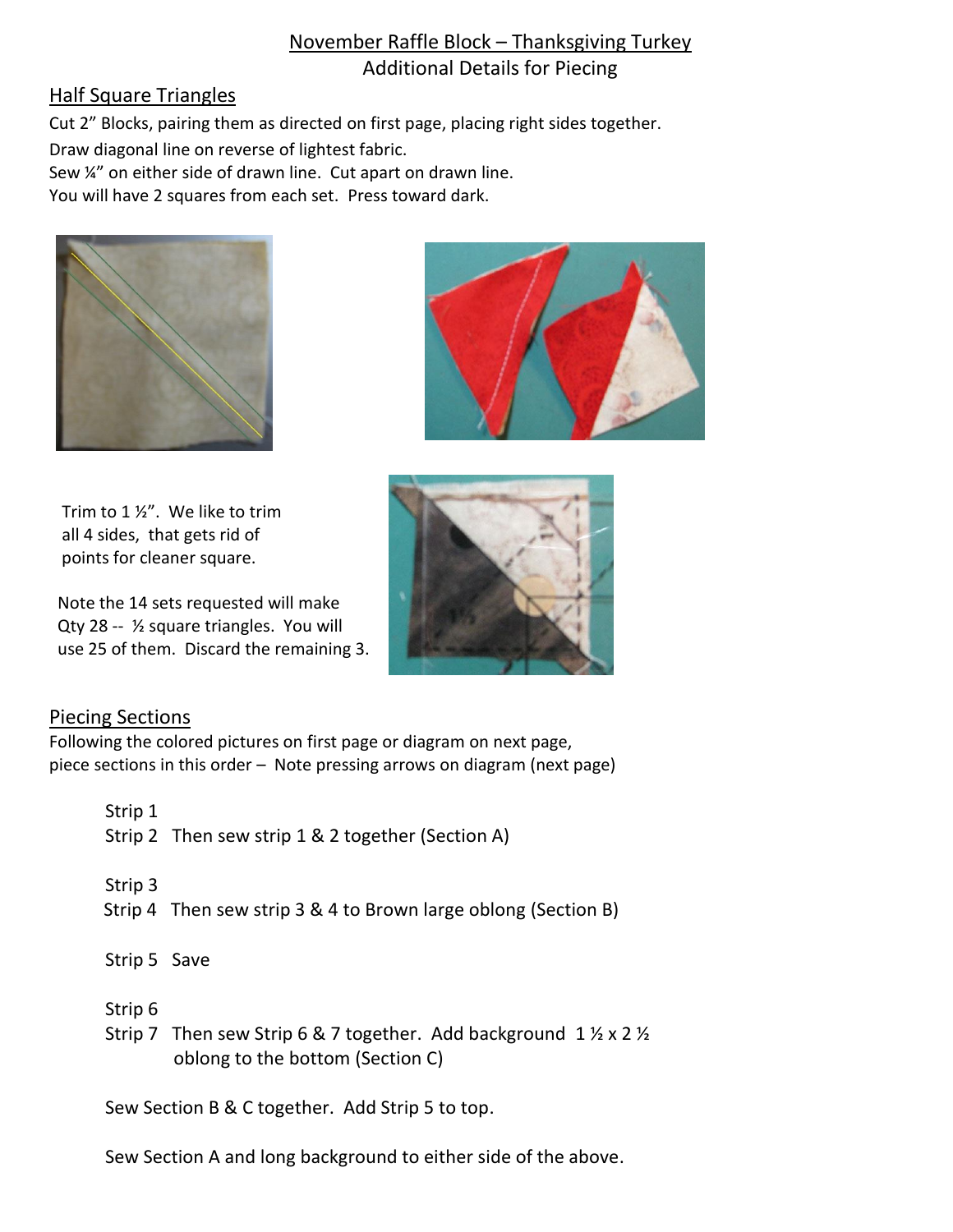# November Raffle Block – Thanksgiving Turkey Additional Details for Piecing

## Half Square Triangles

Cut 2" Blocks, pairing them as directed on first page, placing right sides together.

Draw diagonal line on reverse of lightest fabric.

Sew ¼" on either side of drawn line. Cut apart on drawn line.

You will have 2 squares from each set. Press toward dark.



 Trim to 1 ½". We like to trim all 4 sides, that gets rid of points for cleaner square.

 Note the 14 sets requested will make Qty 28 -- ½ square triangles. You will use 25 of them. Discard the remaining 3.





## Piecing Sections

Following the colored pictures on first page or diagram on next page, piece sections in this order – Note pressing arrows on diagram (next page)

| Strip 1      |                                                                |
|--------------|----------------------------------------------------------------|
|              | Strip 2 Then sew strip 1 & 2 together (Section A)              |
|              |                                                                |
| Strip 3      |                                                                |
|              | Strip 4 Then sew strip 3 & 4 to Brown large oblong (Section B) |
|              |                                                                |
| Strip 5 Save |                                                                |
|              |                                                                |
| Strip 6      |                                                                |

Strip 7 Then sew Strip 6 & 7 together. Add background  $1 \frac{1}{2}$  x 2  $\frac{1}{2}$ oblong to the bottom (Section C)

Sew Section B & C together. Add Strip 5 to top.

Sew Section A and long background to either side of the above.